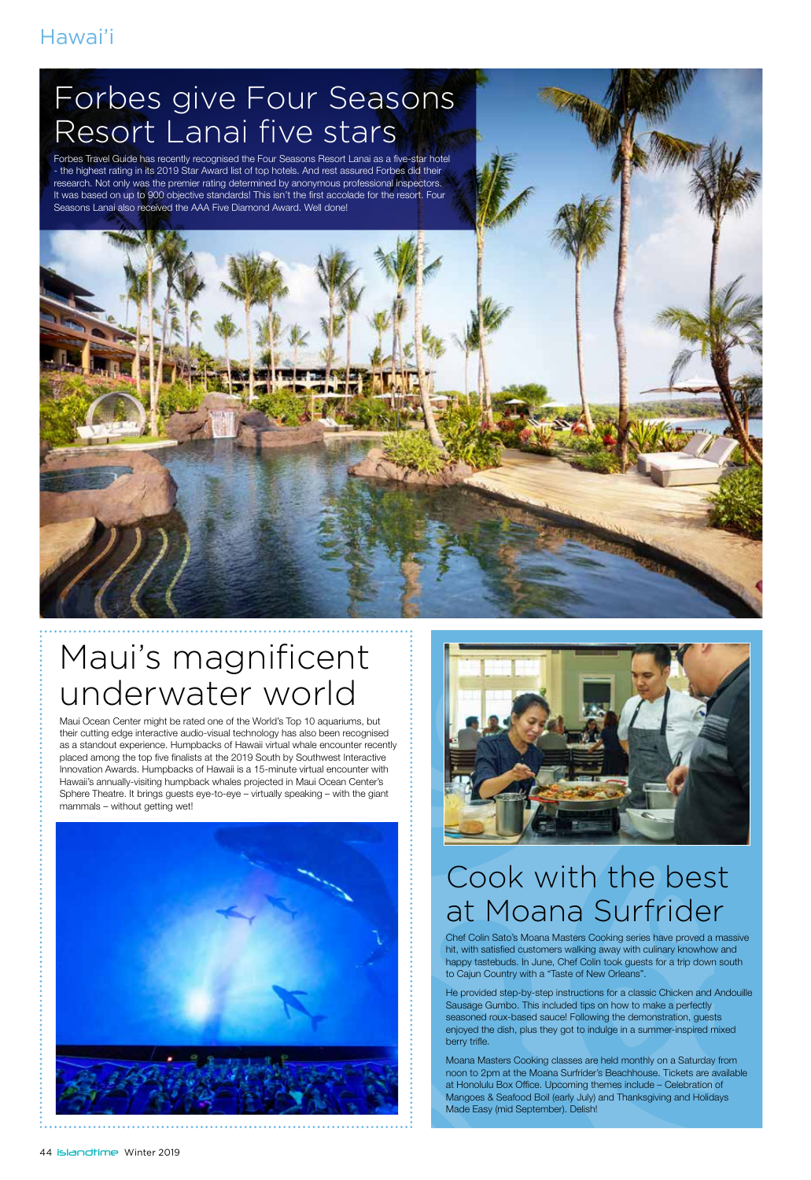#### Hawai'i

## Forbes give Four Seasons Resort Lanai five stars

Forbes Travel Guide has recently recognised the Four Seasons Resort Lanai as a five-star hotel - the highest rating in its 2019 Star Award list of top hotels. And rest assured Forbes did their research. Not only was the premier rating determined by anonymous professional inspectors. It was based on up to 900 objective standards! This isn't the first accolade for the resort. Four Seasons Lanai also received the AAA Five Diamond Award. Well done!



Maui Ocean Center might be rated one of the World's Top 10 aquariums, but their cutting edge interactive audio-visual technology has also been recognised as a standout experience. Humpbacks of Hawaii virtual whale encounter recently placed among the top five finalists at the 2019 South by Southwest Interactive Innovation Awards. Humpbacks of Hawaii is a 15-minute virtual encounter with Hawaii's annually-visiting humpback whales projected in Maui Ocean Center's Sphere Theatre. It brings guests eye-to-eye – virtually speaking – with the giant mammals – without getting wet!





### Cook with the best at Moana Surfrider

Chef Colin Sato's Moana Masters Cooking series have proved a massive hit, with satisfied customers walking away with culinary knowhow and happy tastebuds. In June, Chef Colin took guests for a trip down south to Cajun Country with a "Taste of New Orleans".

He provided step-by-step instructions for a classic Chicken and Andouille Sausage Gumbo. This included tips on how to make a perfectly seasoned roux-based sauce! Following the demonstration, guests enjoyed the dish, plus they got to indulge in a summer-inspired mixed berry trifle.

Moana Masters Cooking classes are held monthly on a Saturday from noon to 2pm at the Moana Surfrider's Beachhouse. Tickets are available at Honolulu Box Office. Upcoming themes include – Celebration of Mangoes & Seafood Boil (early July) and Thanksgiving and Holidays Made Easy (mid September). Delish!